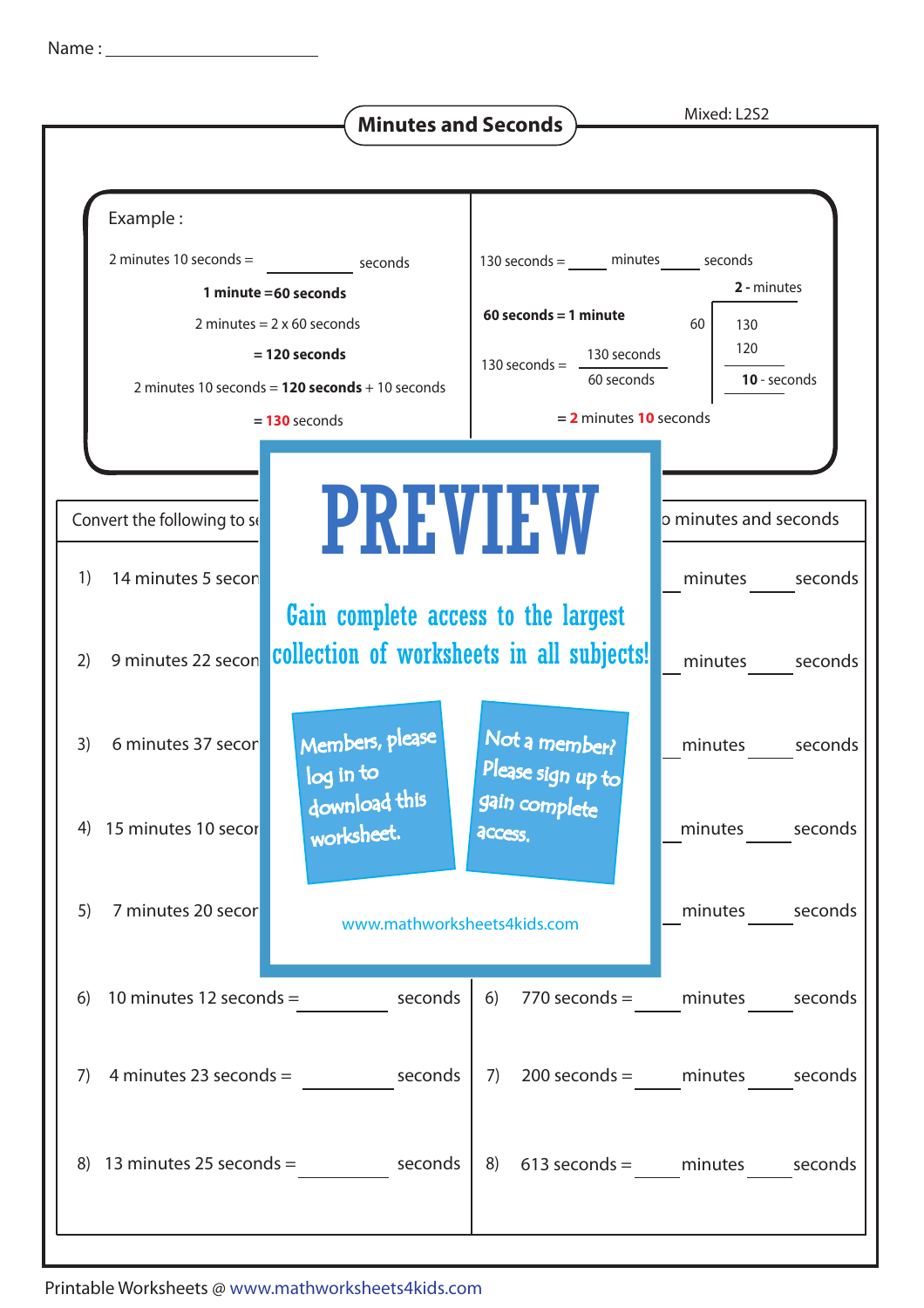